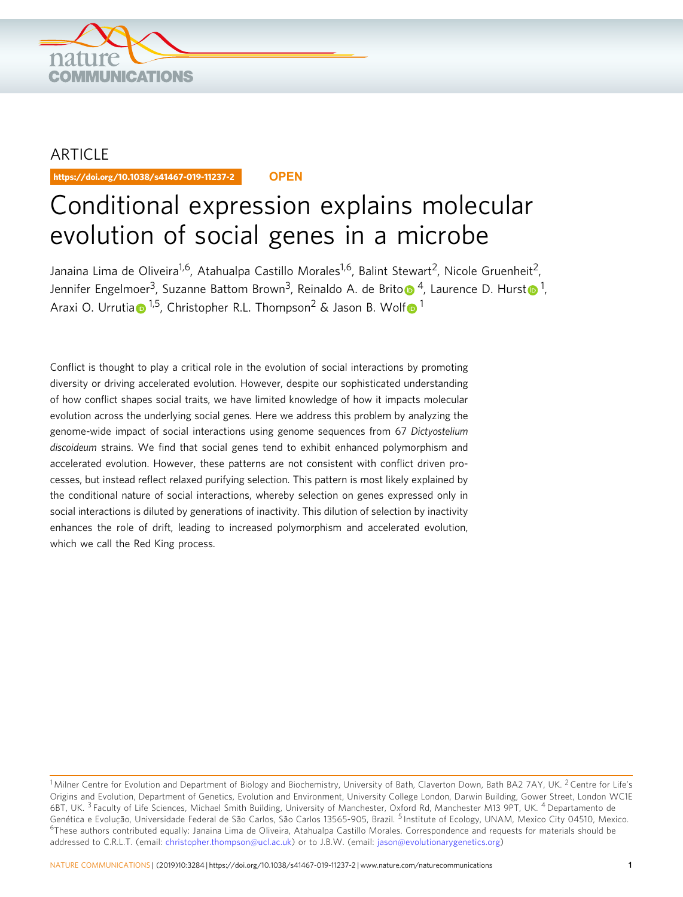

## ARTICLE

https://doi.org/10.1038/s41467-019-11237-2 **OPEN**

# Conditional expression explains molecular evolution of social genes in a microbe

Janaina Lima de Oliveira<sup>1,6</sup>, Atahualpa Castillo Morales<sup>1,6</sup>, Balint Stewart<sup>2</sup>, Nicole Gruenheit<sup>2</sup>, Jennifer Engelm[o](http://orcid.org/0000-0002-9441-6255)er<sup>3</sup>, Suzanne Ba[t](http://orcid.org/0000-0002-1002-1054)tom Brown<sup>3</sup>, Reinaldo A. de Brito $\bullet$ <sup>4</sup>, Laurence D. Hurst $\bullet$ <sup>[1](http://orcid.org/0000-0002-1002-1054)</sup>, Ar[a](http://orcid.org/0000-0001-9011-8675)xi O. Urrutia  $\bigcirc$ <sup>[1](http://orcid.org/0000-0001-9011-8675),5</sup>, Christopher R.L. Thompson<sup>2</sup> & Jason B. Wol[f](http://orcid.org/0000-0003-3112-6602)  $\bigcirc$ <sup>1</sup>

Conflict is thought to play a critical role in the evolution of social interactions by promoting diversity or driving accelerated evolution. However, despite our sophisticated understanding of how conflict shapes social traits, we have limited knowledge of how it impacts molecular evolution across the underlying social genes. Here we address this problem by analyzing the genome-wide impact of social interactions using genome sequences from 67 Dictyostelium discoideum strains. We find that social genes tend to exhibit enhanced polymorphism and accelerated evolution. However, these patterns are not consistent with conflict driven processes, but instead reflect relaxed purifying selection. This pattern is most likely explained by the conditional nature of social interactions, whereby selection on genes expressed only in social interactions is diluted by generations of inactivity. This dilution of selection by inactivity enhances the role of drift, leading to increased polymorphism and accelerated evolution, which we call the Red King process.

<sup>&</sup>lt;sup>1</sup> Milner Centre for Evolution and Department of Biology and Biochemistry, University of Bath, Claverton Down, Bath BA2 7AY, UK. <sup>2</sup> Centre for Life's Origins and Evolution, Department of Genetics, Evolution and Environment, University College London, Darwin Building, Gower Street, London WC1E 6BT, UK.<sup>3</sup> Faculty of Life Sciences, Michael Smith Building, University of Manchester, Oxford Rd, Manchester M13 9PT, UK.<sup>4</sup> Departamento de Genética e Evolução, Universidade Federal de São Carlos, São Carlos 13565-905, Brazil. <sup>5</sup> Institute of Ecology, UNAM, Mexico City 04510, Mexico. <sup>6</sup>These authors contributed equally: Janaina Lima de Oliveira, Atahualpa Castillo Morales. Correspondence and requests for materials should be addressed to C.R.L.T. (email: [christopher.thompson@ucl.ac.uk](mailto:christopher.thompson@ucl.ac.uk)) or to J.B.W. (email: [jason@evolutionarygenetics.org](mailto:jason@evolutionarygenetics.org))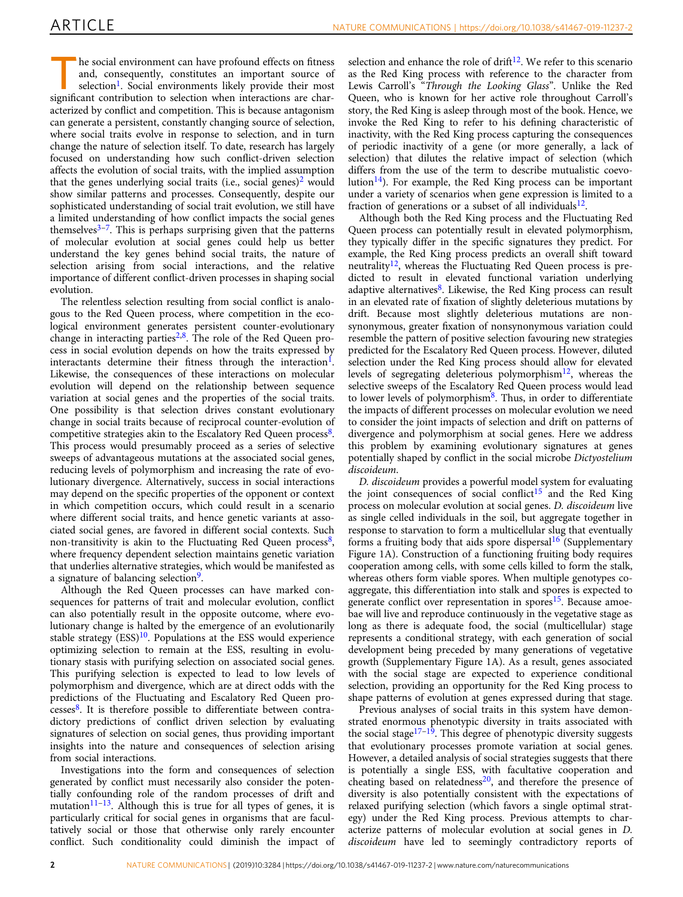he social environment can have profound effects on fitness and, consequently, constitutes an important source of selection<sup>[1](#page-10-0)</sup>. Social environments likely provide their most significant contribution to selection when interactions are characterized by conflict and competition. This is because antagonism can generate a persistent, constantly changing source of selection, where social traits evolve in response to selection, and in turn change the nature of selection itself. To date, research has largely focused on understanding how such conflict-driven selection affects the evolution of social traits, with the implied assumption that the genes underlying social traits (i.e., social genes)<sup>[2](#page-10-0)</sup> would show similar patterns and processes. Consequently, despite our sophisticated understanding of social trait evolution, we still have a limited understanding of how conflict impacts the social genes themselves $3-7$  $3-7$ . This is perhaps surprising given that the patterns of molecular evolution at social genes could help us better understand the key genes behind social traits, the nature of selection arising from social interactions, and the relative importance of different conflict-driven processes in shaping social evolution.

The relentless selection resulting from social conflict is analogous to the Red Queen process, where competition in the ecological environment generates persistent counter-evolutionary change in interacting parties<sup>[2,8](#page-10-0)</sup>. The role of the Red Queen process in social evolution depends on how the traits expressed by interactants determine their fitness through the interaction<sup>1</sup>. Likewise, the consequences of these interactions on molecular evolution will depend on the relationship between sequence variation at social genes and the properties of the social traits. One possibility is that selection drives constant evolutionary change in social traits because of reciprocal counter-evolution of competitive strategies akin to the Escalatory Red Queen process<sup>8</sup>. This process would presumably proceed as a series of selective sweeps of advantageous mutations at the associated social genes, reducing levels of polymorphism and increasing the rate of evolutionary divergence. Alternatively, success in social interactions may depend on the specific properties of the opponent or context in which competition occurs, which could result in a scenario where different social traits, and hence genetic variants at associated social genes, are favored in different social contexts. Such non-transitivity is akin to the Fluctuating Red Queen process<sup>8</sup>, where frequency dependent selection maintains genetic variation that underlies alternative strategies, which would be manifested as a signature of balancing selection<sup>[9](#page-10-0)</sup>.

Although the Red Queen processes can have marked consequences for patterns of trait and molecular evolution, conflict can also potentially result in the opposite outcome, where evolutionary change is halted by the emergence of an evolutionarily stable strategy  $(ESS)^{10}$ . Populations at the ESS would experience optimizing selection to remain at the ESS, resulting in evolutionary stasis with purifying selection on associated social genes. This purifying selection is expected to lead to low levels of polymorphism and divergence, which are at direct odds with the predictions of the Fluctuating and Escalatory Red Queen pro $c$ esses $8$ . It is therefore possible to differentiate between contradictory predictions of conflict driven selection by evaluating signatures of selection on social genes, thus providing important insights into the nature and consequences of selection arising from social interactions.

Investigations into the form and consequences of selection generated by conflict must necessarily also consider the potentially confounding role of the random processes of drift and mutation $11-13$ . Although this is true for all types of genes, it is particularly critical for social genes in organisms that are facultatively social or those that otherwise only rarely encounter conflict. Such conditionality could diminish the impact of

selection and enhance the role of drift $12$ . We refer to this scenario as the Red King process with reference to the character from Lewis Carroll's "Through the Looking Glass". Unlike the Red Queen, who is known for her active role throughout Carroll's story, the Red King is asleep through most of the book. Hence, we invoke the Red King to refer to his defining characteristic of inactivity, with the Red King process capturing the consequences of periodic inactivity of a gene (or more generally, a lack of selection) that dilutes the relative impact of selection (which differs from the use of the term to describe mutualistic coevo-lution<sup>[14](#page-10-0)</sup>). For example, the Red King process can be important under a variety of scenarios when gene expression is limited to a fraction of generations or a subset of all individuals<sup>[12](#page-10-0)</sup>.

Although both the Red King process and the Fluctuating Red Queen process can potentially result in elevated polymorphism, they typically differ in the specific signatures they predict. For example, the Red King process predicts an overall shift toward neutrality<sup>[12](#page-10-0)</sup>, whereas the Fluctuating Red Queen process is predicted to result in elevated functional variation underlying adaptive alternatives $8$ . Likewise, the Red King process can result in an elevated rate of fixation of slightly deleterious mutations by drift. Because most slightly deleterious mutations are nonsynonymous, greater fixation of nonsynonymous variation could resemble the pattern of positive selection favouring new strategies predicted for the Escalatory Red Queen process. However, diluted selection under the Red King process should allow for elevated levels of segregating deleterious polymorphism[12,](#page-10-0) whereas the selective sweeps of the Escalatory Red Queen process would lead to lower levels of polymorphism<sup>8</sup>. Thus, in order to differentiate the impacts of different processes on molecular evolution we need to consider the joint impacts of selection and drift on patterns of divergence and polymorphism at social genes. Here we address this problem by examining evolutionary signatures at genes potentially shaped by conflict in the social microbe Dictyostelium discoideum.

D. discoideum provides a powerful model system for evaluating the joint consequences of social conflict<sup>[15](#page-10-0)</sup> and the Red King process on molecular evolution at social genes. D. discoideum live as single celled individuals in the soil, but aggregate together in response to starvation to form a multicellular slug that eventually forms a fruiting body that aids spore dispersal<sup>[16](#page-10-0)</sup> (Supplementary Figure 1A). Construction of a functioning fruiting body requires cooperation among cells, with some cells killed to form the stalk, whereas others form viable spores. When multiple genotypes coaggregate, this differentiation into stalk and spores is expected to generate conflict over representation in spores $15$ . Because amoebae will live and reproduce continuously in the vegetative stage as long as there is adequate food, the social (multicellular) stage represents a conditional strategy, with each generation of social development being preceded by many generations of vegetative growth (Supplementary Figure 1A). As a result, genes associated with the social stage are expected to experience conditional selection, providing an opportunity for the Red King process to shape patterns of evolution at genes expressed during that stage.

Previous analyses of social traits in this system have demonstrated enormous phenotypic diversity in traits associated with the social stage<sup>[17](#page-10-0)–[19](#page-10-0)</sup>. This degree of phenotypic diversity suggests that evolutionary processes promote variation at social genes. However, a detailed analysis of social strategies suggests that there is potentially a single ESS, with facultative cooperation and cheating based on relatedness $20$ , and therefore the presence of diversity is also potentially consistent with the expectations of relaxed purifying selection (which favors a single optimal strategy) under the Red King process. Previous attempts to characterize patterns of molecular evolution at social genes in D. discoideum have led to seemingly contradictory reports of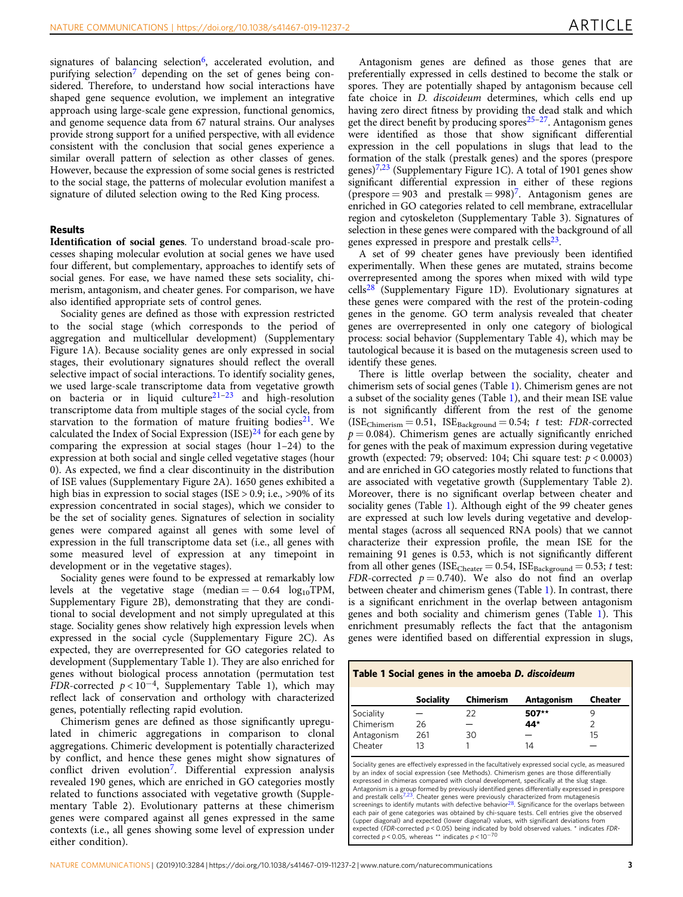<span id="page-2-0"></span>signatures of balancing selection<sup>[6](#page-10-0)</sup>, accelerated evolution, and purifying selection<sup>[7](#page-10-0)</sup> depending on the set of genes being considered. Therefore, to understand how social interactions have shaped gene sequence evolution, we implement an integrative approach using large-scale gene expression, functional genomics, and genome sequence data from 67 natural strains. Our analyses provide strong support for a unified perspective, with all evidence consistent with the conclusion that social genes experience a similar overall pattern of selection as other classes of genes. However, because the expression of some social genes is restricted to the social stage, the patterns of molecular evolution manifest a signature of diluted selection owing to the Red King process.

### Results

Identification of social genes. To understand broad-scale processes shaping molecular evolution at social genes we have used four different, but complementary, approaches to identify sets of social genes. For ease, we have named these sets sociality, chimerism, antagonism, and cheater genes. For comparison, we have also identified appropriate sets of control genes.

Sociality genes are defined as those with expression restricted to the social stage (which corresponds to the period of aggregation and multicellular development) (Supplementary Figure 1A). Because sociality genes are only expressed in social stages, their evolutionary signatures should reflect the overall selective impact of social interactions. To identify sociality genes, we used large-scale transcriptome data from vegetative growth on bacteria or in liquid culture<sup>[21](#page-10-0)-[23](#page-10-0)</sup> and high-resolution transcriptome data from multiple stages of the social cycle, from starvation to the formation of mature fruiting bodies<sup>[21](#page-10-0)</sup>. We calculated the Index of Social Expression  $(ISE)^{24}$  $(ISE)^{24}$  $(ISE)^{24}$  for each gene by comparing the expression at social stages (hour 1–24) to the expression at both social and single celled vegetative stages (hour 0). As expected, we find a clear discontinuity in the distribution of ISE values (Supplementary Figure 2A). 1650 genes exhibited a high bias in expression to social stages (ISE > 0.9; i.e., >90% of its expression concentrated in social stages), which we consider to be the set of sociality genes. Signatures of selection in sociality genes were compared against all genes with some level of expression in the full transcriptome data set (i.e., all genes with some measured level of expression at any timepoint in development or in the vegetative stages).

Sociality genes were found to be expressed at remarkably low levels at the vegetative stage (median  $=$   $-0.64 \log_{10} TPM$ , Supplementary Figure 2B), demonstrating that they are conditional to social development and not simply upregulated at this stage. Sociality genes show relatively high expression levels when expressed in the social cycle (Supplementary Figure 2C). As expected, they are overrepresented for GO categories related to development (Supplementary Table 1). They are also enriched for genes without biological process annotation (permutation test FDR-corrected  $p < 10^{-4}$ , Supplementary Table 1), which may reflect lack of conservation and orthology with characterized genes, potentially reflecting rapid evolution.

Chimerism genes are defined as those significantly upregulated in chimeric aggregations in comparison to clonal aggregations. Chimeric development is potentially characterized by conflict, and hence these genes might show signatures of conflict driven evolution<sup>7</sup>. Differential expression analysis revealed 190 genes, which are enriched in GO categories mostly related to functions associated with vegetative growth (Supplementary Table 2). Evolutionary patterns at these chimerism genes were compared against all genes expressed in the same contexts (i.e., all genes showing some level of expression under either condition).

Antagonism genes are defined as those genes that are preferentially expressed in cells destined to become the stalk or spores. They are potentially shaped by antagonism because cell fate choice in D. discoideum determines, which cells end up having zero direct fitness by providing the dead stalk and which get the direct benefit by producing spores $25-27$ . Antagonism genes were identified as those that show significant differential expression in the cell populations in slugs that lead to the formation of the stalk (prestalk genes) and the spores (prespore genes)<sup>[7](#page-10-0),[23](#page-10-0)</sup> (Supplementary Figure 1C). A total of 1901 genes show significant differential expression in either of these regions (prespore  $= 903$  and prestalk  $= 998$ )<sup>[7](#page-10-0)</sup>. Antagonism genes are enriched in GO categories related to cell membrane, extracellular region and cytoskeleton (Supplementary Table 3). Signatures of selection in these genes were compared with the background of all genes expressed in prespore and prestalk cells $^{23}$ .

A set of 99 cheater genes have previously been identified experimentally. When these genes are mutated, strains become overrepresented among the spores when mixed with wild type  $cells<sup>28</sup>$  $cells<sup>28</sup>$  $cells<sup>28</sup>$  (Supplementary Figure 1D). Evolutionary signatures at these genes were compared with the rest of the protein-coding genes in the genome. GO term analysis revealed that cheater genes are overrepresented in only one category of biological process: social behavior (Supplementary Table 4), which may be tautological because it is based on the mutagenesis screen used to identify these genes.

There is little overlap between the sociality, cheater and chimerism sets of social genes (Table 1). Chimerism genes are not a subset of the sociality genes (Table 1), and their mean ISE value is not significantly different from the rest of the genome  $(ISE<sub>Chimerism</sub> = 0.51,  $ISE<sub>Background</sub> = 0.54$ ; *t* test: *FDR-corrected*$  $p = 0.084$ ). Chimerism genes are actually significantly enriched for genes with the peak of maximum expression during vegetative growth (expected: 79; observed: 104; Chi square test:  $p < 0.0003$ ) and are enriched in GO categories mostly related to functions that are associated with vegetative growth (Supplementary Table 2). Moreover, there is no significant overlap between cheater and sociality genes (Table 1). Although eight of the 99 cheater genes are expressed at such low levels during vegetative and developmental stages (across all sequenced RNA pools) that we cannot characterize their expression profile, the mean ISE for the remaining 91 genes is 0.53, which is not significantly different from all other genes (ISE<sub>Cheater</sub> = 0.54, ISE<sub>Background</sub> = 0.53; t test: FDR-corrected  $p = 0.740$ ). We also do not find an overlap between cheater and chimerism genes (Table 1). In contrast, there is a significant enrichment in the overlap between antagonism genes and both sociality and chimerism genes (Table 1). This enrichment presumably reflects the fact that the antagonism genes were identified based on differential expression in slugs,

| Table 1 Social genes in the amoeba D. discoideum                                                                                                                                                                                                                                                                                                                                                                                                                                                   |                  |           |            |         |  |  |  |  |  |
|----------------------------------------------------------------------------------------------------------------------------------------------------------------------------------------------------------------------------------------------------------------------------------------------------------------------------------------------------------------------------------------------------------------------------------------------------------------------------------------------------|------------------|-----------|------------|---------|--|--|--|--|--|
|                                                                                                                                                                                                                                                                                                                                                                                                                                                                                                    | <b>Sociality</b> | Chimerism | Antagonism | Cheater |  |  |  |  |  |
| Sociality                                                                                                                                                                                                                                                                                                                                                                                                                                                                                          |                  | 22        | 507**      | g       |  |  |  |  |  |
| Chimerism                                                                                                                                                                                                                                                                                                                                                                                                                                                                                          | 26               |           | 44*        | フ       |  |  |  |  |  |
| Antagonism                                                                                                                                                                                                                                                                                                                                                                                                                                                                                         | 261              | 30        |            | 15      |  |  |  |  |  |
| Cheater                                                                                                                                                                                                                                                                                                                                                                                                                                                                                            | 13               |           | 14         |         |  |  |  |  |  |
| Sociality genes are effectively expressed in the facultatively expressed social cycle, as measured<br>by an index of social expression (see Methods). Chimerism genes are those differentially<br>expressed in chimeras compared with clonal development, specifically at the slug stage.<br>Antagonism is a group formed by previously identified genes differentially expressed in prespore<br>and prestalk cells <sup>7,23</sup> . Cheater genes were previously characterized from mutagenesis |                  |           |            |         |  |  |  |  |  |

and prestalk cells<sup>7,23</sup>. Cheater genes were previously characterized from mutagenesis<br>screenings to identify mutants with defective behavior<sup>28</sup>. Significance for the overlaps between each pair of gene categories was obtained by chi-square tests. Cell entries give the observed (upper diagonal) and expected (lower diagonal) values, with significant deviations from expected (FDR-corrected p < 0.05) being indicated by bold observed values. \* indicates FDRcorrected  $p < 0.05$ , whereas \*\* indicates  $p < 10^{-70}$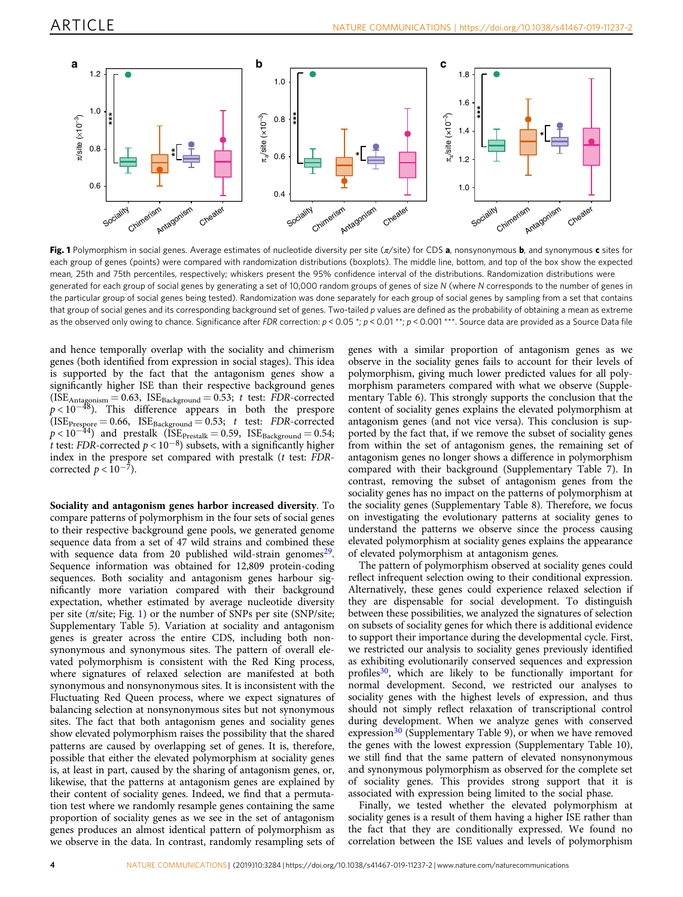

Fig. 1 Polymorphism in social genes. Average estimates of nucleotide diversity per site  $(\pi/\text{site})$  for CDS a, nonsynonymous b, and synonymous c sites for each group of genes (points) were compared with randomization distributions (boxplots). The middle line, bottom, and top of the box show the expected mean, 25th and 75th percentiles, respectively; whiskers present the 95% confidence interval of the distributions. Randomization distributions were generated for each group of social genes by generating a set of 10,000 random groups of genes of size N (where N corresponds to the number of genes in the particular group of social genes being tested). Randomization was done separately for each group of social genes by sampling from a set that contains that group of social genes and its corresponding background set of genes. Two-tailed p values are defined as the probability of obtaining a mean as extreme as the observed only owing to chance. Significance after FDR correction:  $p < 0.05$ ;  $p < 0.01$ \*\*,  $p < 0.001$ \*\*\*. Source data are provided as a Source Data file

and hence temporally overlap with the sociality and chimerism genes (both identified from expression in social stages). This idea is supported by the fact that the antagonism genes show a significantly higher ISE than their respective background genes  $(ISE_{Antagonism} = 0.63, \text{ } ISE_{Background} = 0.53; \text{ } t \text{ test: } FDR\text{-corrected}$  $p < 10^{-48}$ ). This difference appears in both the prespore  $(ISE_{\text{Prespec}} = 0.66, \text{ } ISE_{\text{Background}} = 0.53; \text{ } t \text{ } test: \text{ } FDR\text{-corrected}$  $p < 10^{-44}$ ) and prestalk (ISE<sub>Prestalk</sub> = 0.59, ISE<sub>Background</sub> = 0.54; t test: FDR-corrected  $p < 10^{-8}$ ) subsets, with a significantly higher index in the prespore set compared with prestalk (t test: FDRcorrected  $p < 10^{-7}$ ).

Sociality and antagonism genes harbor increased diversity. To compare patterns of polymorphism in the four sets of social genes to their respective background gene pools, we generated genome sequence data from a set of 47 wild strains and combined these with sequence data from 20 published wild-strain genomes $2^9$ . Sequence information was obtained for 12,809 protein-coding sequences. Both sociality and antagonism genes harbour significantly more variation compared with their background expectation, whether estimated by average nucleotide diversity per site  $(\pi/\text{site}; \text{Fig. 1})$  or the number of SNPs per site (SNP/site; Supplementary Table 5). Variation at sociality and antagonism genes is greater across the entire CDS, including both nonsynonymous and synonymous sites. The pattern of overall elevated polymorphism is consistent with the Red King process, where signatures of relaxed selection are manifested at both synonymous and nonsynonymous sites. It is inconsistent with the Fluctuating Red Queen process, where we expect signatures of balancing selection at nonsynonymous sites but not synonymous sites. The fact that both antagonism genes and sociality genes show elevated polymorphism raises the possibility that the shared patterns are caused by overlapping set of genes. It is, therefore, possible that either the elevated polymorphism at sociality genes is, at least in part, caused by the sharing of antagonism genes, or, likewise, that the patterns at antagonism genes are explained by their content of sociality genes. Indeed, we find that a permutation test where we randomly resample genes containing the same proportion of sociality genes as we see in the set of antagonism genes produces an almost identical pattern of polymorphism as we observe in the data. In contrast, randomly resampling sets of

genes with a similar proportion of antagonism genes as we observe in the sociality genes fails to account for their levels of polymorphism, giving much lower predicted values for all polymorphism parameters compared with what we observe (Supplementary Table 6). This strongly supports the conclusion that the content of sociality genes explains the elevated polymorphism at antagonism genes (and not vice versa). This conclusion is supported by the fact that, if we remove the subset of sociality genes from within the set of antagonism genes, the remaining set of antagonism genes no longer shows a difference in polymorphism compared with their background (Supplementary Table 7). In contrast, removing the subset of antagonism genes from the sociality genes has no impact on the patterns of polymorphism at the sociality genes (Supplementary Table 8). Therefore, we focus on investigating the evolutionary patterns at sociality genes to understand the patterns we observe since the process causing elevated polymorphism at sociality genes explains the appearance of elevated polymorphism at antagonism genes.

The pattern of polymorphism observed at sociality genes could reflect infrequent selection owing to their conditional expression. Alternatively, these genes could experience relaxed selection if they are dispensable for social development. To distinguish between these possibilities, we analyzed the signatures of selection on subsets of sociality genes for which there is additional evidence to support their importance during the developmental cycle. First, we restricted our analysis to sociality genes previously identified as exhibiting evolutionarily conserved sequences and expression profiles<sup>30</sup>, which are likely to be functionally important for normal development. Second, we restricted our analyses to sociality genes with the highest levels of expression, and thus should not simply reflect relaxation of transcriptional control during development. When we analyze genes with conserved expression<sup>[30](#page-10-0)</sup> (Supplementary Table 9), or when we have removed the genes with the lowest expression (Supplementary Table 10), we still find that the same pattern of elevated nonsynonymous and synonymous polymorphism as observed for the complete set of sociality genes. This provides strong support that it is associated with expression being limited to the social phase.

Finally, we tested whether the elevated polymorphism at sociality genes is a result of them having a higher ISE rather than the fact that they are conditionally expressed. We found no correlation between the ISE values and levels of polymorphism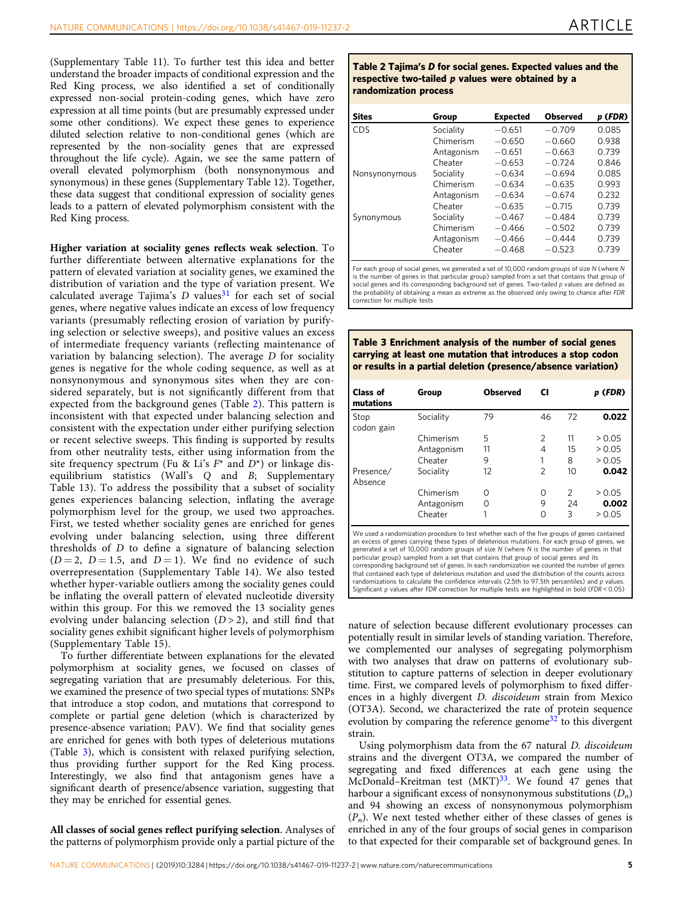(Supplementary Table 11). To further test this idea and better understand the broader impacts of conditional expression and the Red King process, we also identified a set of conditionally expressed non-social protein-coding genes, which have zero expression at all time points (but are presumably expressed under some other conditions). We expect these genes to experience diluted selection relative to non-conditional genes (which are represented by the non-sociality genes that are expressed throughout the life cycle). Again, we see the same pattern of overall elevated polymorphism (both nonsynonymous and synonymous) in these genes (Supplementary Table 12). Together, these data suggest that conditional expression of sociality genes leads to a pattern of elevated polymorphism consistent with the Red King process.

Higher variation at sociality genes reflects weak selection. To further differentiate between alternative explanations for the pattern of elevated variation at sociality genes, we examined the distribution of variation and the type of variation present. We calculated average Tajima's  $D$  values<sup>[31](#page-10-0)</sup> for each set of social genes, where negative values indicate an excess of low frequency variants (presumably reflecting erosion of variation by purifying selection or selective sweeps), and positive values an excess of intermediate frequency variants (reflecting maintenance of variation by balancing selection). The average D for sociality genes is negative for the whole coding sequence, as well as at nonsynonymous and synonymous sites when they are considered separately, but is not significantly different from that expected from the background genes (Table 2). This pattern is inconsistent with that expected under balancing selection and consistent with the expectation under either purifying selection or recent selective sweeps. This finding is supported by results from other neutrality tests, either using information from the site frequency spectrum (Fu & Li's  $F^*$  and  $D^*$ ) or linkage disequilibrium statistics (Wall's Q and B; Supplementary Table 13). To address the possibility that a subset of sociality genes experiences balancing selection, inflating the average polymorphism level for the group, we used two approaches. First, we tested whether sociality genes are enriched for genes evolving under balancing selection, using three different thresholds of D to define a signature of balancing selection  $(D = 2, D = 1.5, and D = 1)$ . We find no evidence of such overrepresentation (Supplementary Table 14). We also tested whether hyper-variable outliers among the sociality genes could be inflating the overall pattern of elevated nucleotide diversity within this group. For this we removed the 13 sociality genes evolving under balancing selection  $(D > 2)$ , and still find that sociality genes exhibit significant higher levels of polymorphism (Supplementary Table 15).

To further differentiate between explanations for the elevated polymorphism at sociality genes, we focused on classes of segregating variation that are presumably deleterious. For this, we examined the presence of two special types of mutations: SNPs that introduce a stop codon, and mutations that correspond to complete or partial gene deletion (which is characterized by presence-absence variation; PAV). We find that sociality genes are enriched for genes with both types of deleterious mutations (Table 3), which is consistent with relaxed purifying selection, thus providing further support for the Red King process. Interestingly, we also find that antagonism genes have a significant dearth of presence/absence variation, suggesting that they may be enriched for essential genes.

All classes of social genes reflect purifying selection. Analyses of the patterns of polymorphism provide only a partial picture of the

#### Table 2 Tajima's D for social genes. Expected values and the respective two-tailed p values were obtained by a randomization process

| <b>Sites</b>  | Group      | <b>Expected</b> | <b>Observed</b> | p (FDR) |
|---------------|------------|-----------------|-----------------|---------|
| CDS           | Sociality  | $-0.651$        | $-0.709$        | 0.085   |
|               | Chimerism  | $-0.650$        | $-0.660$        | 0.938   |
|               | Antagonism | $-0.651$        | $-0.663$        | 0.739   |
|               | Cheater    | $-0.653$        | $-0.724$        | 0.846   |
| Nonsynonymous | Sociality  | $-0.634$        | $-0.694$        | 0.085   |
|               | Chimerism  | $-0.634$        | $-0.635$        | 0.993   |
|               | Antagonism | $-0.634$        | $-0.674$        | 0.232   |
|               | Cheater    | $-0.635$        | $-0.715$        | 0.739   |
| Synonymous    | Sociality  | $-0.467$        | $-0.484$        | 0.739   |
|               | Chimerism  | $-0.466$        | $-0.502$        | 0.739   |
|               | Antagonism | $-0.466$        | $-0.444$        | 0.739   |
|               | Cheater    | $-0.468$        | $-0.523$        | 0.739   |

For each group of social genes, we generated a set of 10,000 random groups of size N (where N is the number of genes in that particular group) sampled from a set that contains that group of social genes and its corresponding background set of genes. Two-tailed p values are defined as the probability of obtaining a mean as extreme as the observed only owing to chance after FDR correction for multiple tests

Table 3 Enrichment analysis of the number of social genes carrying at least one mutation that introduces a stop codon or results in a partial deletion (presence/absence variation)

| Class of<br>mutations | Group      | <b>Observed</b> | <b>CI</b>     |    | p (FDR) |
|-----------------------|------------|-----------------|---------------|----|---------|
| Stop<br>codon gain    | Sociality  | 79              | 46            | 72 | 0.022   |
|                       | Chimerism  | 5               | $\mathcal{P}$ | 11 | > 0.05  |
|                       | Antagonism | 11              | 4             | 15 | > 0.05  |
|                       | Cheater    | 9               |               | 8  | > 0.05  |
| Presence/<br>Absence  | Sociality  | 12              | $\mathcal{P}$ | 10 | 0.042   |
|                       | Chimerism  | ∩               | Ω             | 2  | > 0.05  |
|                       | Antagonism | ი               | 9             | 24 | 0.002   |
|                       | Cheater    |                 | Ω             | 3  | > 0.05  |

We used a randomization procedure to test whether each of the five groups of genes contained an excess of genes carrying these types of deleterious mutations. For each group of genes, we generated a set of 10,000 random groups of size N (where N is the number of genes in that particular group) sampled from a set that contains that group of social genes and its corresponding background set of genes. In each randomization we counted the number of genes that contained each type of deleterious mutation and used the distribution of the counts across randomizations to calculate the confidence intervals (2.5th to 97.5th percentiles) and p values<br>Significant p values after FDR correction for multiple tests are highlighted in bold (FDR < 0.05)

nature of selection because different evolutionary processes can potentially result in similar levels of standing variation. Therefore, we complemented our analyses of segregating polymorphism with two analyses that draw on patterns of evolutionary substitution to capture patterns of selection in deeper evolutionary time. First, we compared levels of polymorphism to fixed differences in a highly divergent D. discoideum strain from Mexico (OT3A). Second, we characterized the rate of protein sequence evolution by comparing the reference genome $32$  to this divergent strain.

Using polymorphism data from the 67 natural D. discoideum strains and the divergent OT3A, we compared the number of segregating and fixed differences at each gene using the McDonald–Kreitman test  $(MKT)^{33}$ . We found 47 genes that harbour a significant excess of nonsynonymous substitutions  $(D_n)$ and 94 showing an excess of nonsynonymous polymorphism  $(P_n)$ . We next tested whether either of these classes of genes is enriched in any of the four groups of social genes in comparison to that expected for their comparable set of background genes. In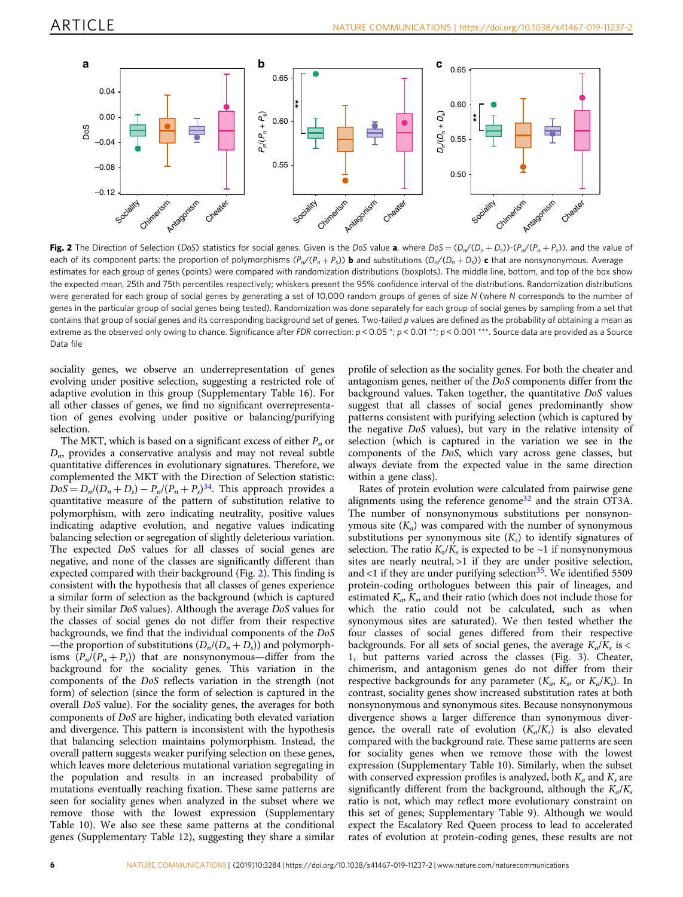

Fig. 2 The Direction of Selection (DoS) statistics for social genes. Given is the DoS value a, where  $DoS = (D_n/(D_n + D_s)) \cdot (P_n/(P_n + P_s))$ , and the value of each of its component parts: the proportion of polymorphisms  $(P_n/(P_n + P_s))$  **b** and substitutions  $(D_n/(D_n + D_s))$  **c** that are nonsynonymous. Average estimates for each group of genes (points) were compared with randomization distributions (boxplots). The middle line, bottom, and top of the box show the expected mean, 25th and 75th percentiles respectively; whiskers present the 95% confidence interval of the distributions. Randomization distributions were generated for each group of social genes by generating a set of 10,000 random groups of genes of size N (where N corresponds to the number of genes in the particular group of social genes being tested). Randomization was done separately for each group of social genes by sampling from a set that contains that group of social genes and its corresponding background set of genes. Two-tailed p values are defined as the probability of obtaining a mean as extreme as the observed only owing to chance. Significance after FDR correction:  $p < 0.05$ ;  $p < 0.01$ \*\*,  $p < 0.001$ \*\*\*. Source data are provided as a Source Data file

sociality genes, we observe an underrepresentation of genes evolving under positive selection, suggesting a restricted role of adaptive evolution in this group (Supplementary Table 16). For all other classes of genes, we find no significant overrepresentation of genes evolving under positive or balancing/purifying selection.

The MKT, which is based on a significant excess of either  $P_n$  or  $D_n$ , provides a conservative analysis and may not reveal subtle quantitative differences in evolutionary signatures. Therefore, we complemented the MKT with the Direction of Selection statistic:  $DoS = D_n/(D_n + D_s) - P_n/(P_n + P_s)^{34}$ . This approach provides a quantitative measure of the pattern of substitution relative to polymorphism, with zero indicating neutrality, positive values indicating adaptive evolution, and negative values indicating balancing selection or segregation of slightly deleterious variation. The expected DoS values for all classes of social genes are negative, and none of the classes are significantly different than expected compared with their background (Fig. 2). This finding is consistent with the hypothesis that all classes of genes experience a similar form of selection as the background (which is captured by their similar DoS values). Although the average DoS values for the classes of social genes do not differ from their respective backgrounds, we find that the individual components of the DoS —the proportion of substitutions  $(D_n/(D_n+D_s))$  and polymorphisms  $(P_n/(P_n + P_s))$  that are nonsynonymous—differ from the background for the sociality genes. This variation in the components of the DoS reflects variation in the strength (not form) of selection (since the form of selection is captured in the overall DoS value). For the sociality genes, the averages for both components of DoS are higher, indicating both elevated variation and divergence. This pattern is inconsistent with the hypothesis that balancing selection maintains polymorphism. Instead, the overall pattern suggests weaker purifying selection on these genes, which leaves more deleterious mutational variation segregating in the population and results in an increased probability of mutations eventually reaching fixation. These same patterns are seen for sociality genes when analyzed in the subset where we remove those with the lowest expression (Supplementary Table 10). We also see these same patterns at the conditional genes (Supplementary Table 12), suggesting they share a similar

profile of selection as the sociality genes. For both the cheater and antagonism genes, neither of the DoS components differ from the background values. Taken together, the quantitative DoS values suggest that all classes of social genes predominantly show patterns consistent with purifying selection (which is captured by the negative DoS values), but vary in the relative intensity of selection (which is captured in the variation we see in the components of the DoS, which vary across gene classes, but always deviate from the expected value in the same direction within a gene class).

Rates of protein evolution were calculated from pairwise gene alignments using the reference genome<sup>32</sup> and the strain OT3A. The number of nonsynonymous substitutions per nonsynonymous site  $(K_a)$  was compared with the number of synonymous substitutions per synonymous site  $(K<sub>s</sub>)$  to identify signatures of selection. The ratio  $K_a/K_s$  is expected to be  $\sim$ 1 if nonsynonymous sites are nearly neutral, >1 if they are under positive selection, and  $\leq 1$  if they are under purifying selection<sup>35</sup>. We identified 5509 protein-coding orthologues between this pair of lineages, and estimated  $K_a$ ,  $K_s$ , and their ratio (which does not include those for which the ratio could not be calculated, such as when synonymous sites are saturated). We then tested whether the four classes of social genes differed from their respective backgrounds. For all sets of social genes, the average  $K_a/K_s$  is < 1, but patterns varied across the classes (Fig. [3](#page-6-0)). Cheater, chimerism, and antagonism genes do not differ from their respective backgrounds for any parameter  $(K_a, K_s, \text{ or } K_a/K_s)$ . In contrast, sociality genes show increased substitution rates at both nonsynonymous and synonymous sites. Because nonsynonymous divergence shows a larger difference than synonymous divergence, the overall rate of evolution  $(K_a/K_s)$  is also elevated compared with the background rate. These same patterns are seen for sociality genes when we remove those with the lowest expression (Supplementary Table 10). Similarly, when the subset with conserved expression profiles is analyzed, both  $K_a$  and  $K_s$  are significantly different from the background, although the  $K_a/K_s$ ratio is not, which may reflect more evolutionary constraint on this set of genes; Supplementary Table 9). Although we would expect the Escalatory Red Queen process to lead to accelerated rates of evolution at protein-coding genes, these results are not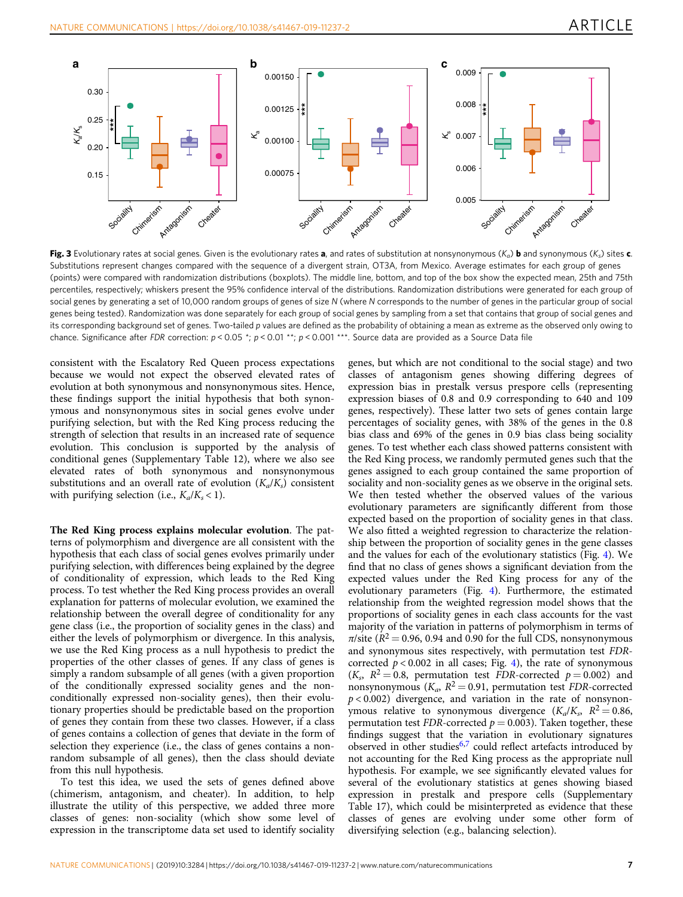<span id="page-6-0"></span>

Fig. 3 Evolutionary rates at social genes. Given is the evolutionary rates a, and rates of substitution at nonsynonymous  $(K_{\alpha})$  b and synonymous  $(K_{s})$  sites c. Substitutions represent changes compared with the sequence of a divergent strain, OT3A, from Mexico. Average estimates for each group of genes (points) were compared with randomization distributions (boxplots). The middle line, bottom, and top of the box show the expected mean, 25th and 75th percentiles, respectively; whiskers present the 95% confidence interval of the distributions. Randomization distributions were generated for each group of social genes by generating a set of 10,000 random groups of genes of size N (where N corresponds to the number of genes in the particular group of social genes being tested). Randomization was done separately for each group of social genes by sampling from a set that contains that group of social genes and its corresponding background set of genes. Two-tailed p values are defined as the probability of obtaining a mean as extreme as the observed only owing to chance. Significance after FDR correction:  $p < 0.05$  \*;  $p < 0.01$  \*\*;  $p < 0.001$  \*\*\*. Source data are provided as a Source Data file

consistent with the Escalatory Red Queen process expectations because we would not expect the observed elevated rates of evolution at both synonymous and nonsynonymous sites. Hence, these findings support the initial hypothesis that both synonymous and nonsynonymous sites in social genes evolve under purifying selection, but with the Red King process reducing the strength of selection that results in an increased rate of sequence evolution. This conclusion is supported by the analysis of conditional genes (Supplementary Table 12), where we also see elevated rates of both synonymous and nonsynonymous substitutions and an overall rate of evolution  $(K_a/K_s)$  consistent with purifying selection (i.e.,  $K_a/K_s < 1$ ).

The Red King process explains molecular evolution. The patterns of polymorphism and divergence are all consistent with the hypothesis that each class of social genes evolves primarily under purifying selection, with differences being explained by the degree of conditionality of expression, which leads to the Red King process. To test whether the Red King process provides an overall explanation for patterns of molecular evolution, we examined the relationship between the overall degree of conditionality for any gene class (i.e., the proportion of sociality genes in the class) and either the levels of polymorphism or divergence. In this analysis, we use the Red King process as a null hypothesis to predict the properties of the other classes of genes. If any class of genes is simply a random subsample of all genes (with a given proportion of the conditionally expressed sociality genes and the nonconditionally expressed non-sociality genes), then their evolutionary properties should be predictable based on the proportion of genes they contain from these two classes. However, if a class of genes contains a collection of genes that deviate in the form of selection they experience (i.e., the class of genes contains a nonrandom subsample of all genes), then the class should deviate from this null hypothesis.

To test this idea, we used the sets of genes defined above (chimerism, antagonism, and cheater). In addition, to help illustrate the utility of this perspective, we added three more classes of genes: non-sociality (which show some level of expression in the transcriptome data set used to identify sociality

genes, but which are not conditional to the social stage) and two classes of antagonism genes showing differing degrees of expression bias in prestalk versus prespore cells (representing expression biases of 0.8 and 0.9 corresponding to 640 and 109 genes, respectively). These latter two sets of genes contain large percentages of sociality genes, with 38% of the genes in the 0.8 bias class and 69% of the genes in 0.9 bias class being sociality genes. To test whether each class showed patterns consistent with the Red King process, we randomly permuted genes such that the genes assigned to each group contained the same proportion of sociality and non-sociality genes as we observe in the original sets. We then tested whether the observed values of the various evolutionary parameters are significantly different from those expected based on the proportion of sociality genes in that class. We also fitted a weighted regression to characterize the relationship between the proportion of sociality genes in the gene classes and the values for each of the evolutionary statistics (Fig. [4](#page-7-0)). We find that no class of genes shows a significant deviation from the expected values under the Red King process for any of the evolutionary parameters (Fig. [4](#page-7-0)). Furthermore, the estimated relationship from the weighted regression model shows that the proportions of sociality genes in each class accounts for the vast majority of the variation in patterns of polymorphism in terms of  $\pi$ /site ( $R^2$  = 0.96, 0.94 and 0.90 for the full CDS, nonsynonymous and synonymous sites respectively, with permutation test FDRcorrected  $p < 0.002$  in all cases; Fig. [4](#page-7-0)), the rate of synonymous  $(K_s, R^2 = 0.8,$  permutation test FDR-corrected  $p = 0.002$ ) and nonsynonymous ( $K_a$ ,  $R^2 = 0.91$ , permutation test *FDR*-corrected  $p < 0.002$ ) divergence, and variation in the rate of nonsynonymous relative to synonymous divergence  $(K_a/K_s, R^2 = 0.86,$ permutation test FDR-corrected  $p = 0.003$ ). Taken together, these findings suggest that the variation in evolutionary signatures observed in other studie[s6](#page-10-0),[7](#page-10-0) could reflect artefacts introduced by not accounting for the Red King process as the appropriate null hypothesis. For example, we see significantly elevated values for several of the evolutionary statistics at genes showing biased expression in prestalk and prespore cells (Supplementary Table 17), which could be misinterpreted as evidence that these classes of genes are evolving under some other form of diversifying selection (e.g., balancing selection).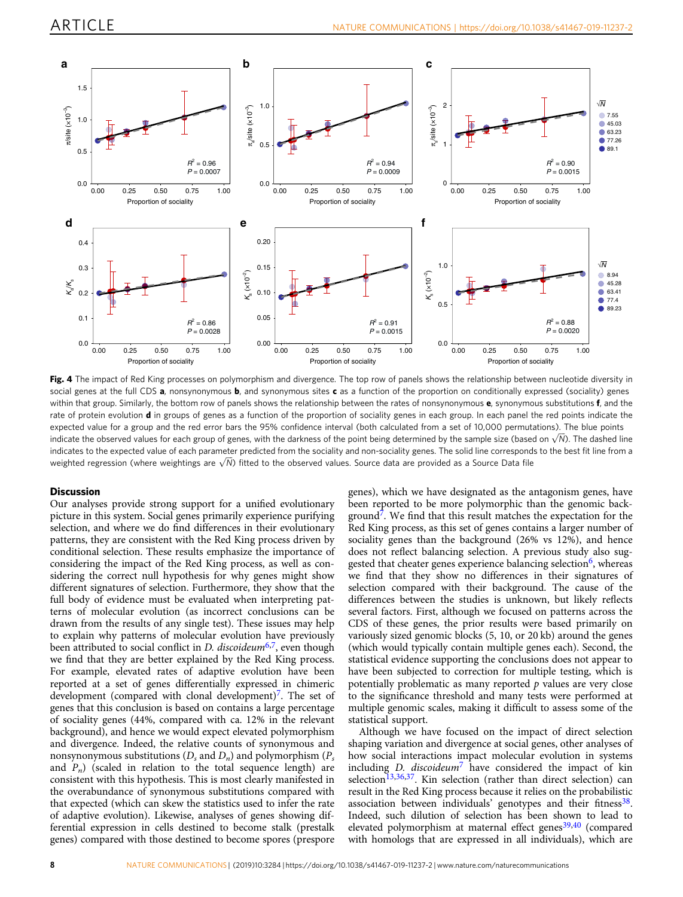<span id="page-7-0"></span>

Fig. 4 The impact of Red King processes on polymorphism and divergence. The top row of panels shows the relationship between nucleotide diversity in social genes at the full CDS a, nonsynonymous b, and synonymous sites c as a function of the proportion on conditionally expressed (sociality) genes within that group. Similarly, the bottom row of panels shows the relationship between the rates of nonsynonymous e, synonymous substitutions f, and the rate of protein evolution **d** in groups of genes as a function of the proportion of sociality genes in each group. In each panel the red points indicate the expected value for a group and the red error bars the 95% confidence interval (both calculated from a set of 10,000 permutations). The blue points expected value for a group and the red error bars the 95% confidence interval (both calculated from a set of 10,000 permutations). The blue points<br>indicate the observed values for each group of genes, with the darkness of indicates to the expected value of each parameter predicted from the sociality and non-sociality genes. The solid line corresponds to the best fit line from a indicates to the expected value of each parameter predicted from the sociality and non-sociality genes. The solid line correspond<br>weighted regression (where weightings are  $\sqrt{N}$ ) fitted to the observed values. Source da

#### Discussion

Our analyses provide strong support for a unified evolutionary picture in this system. Social genes primarily experience purifying selection, and where we do find differences in their evolutionary patterns, they are consistent with the Red King process driven by conditional selection. These results emphasize the importance of considering the impact of the Red King process, as well as considering the correct null hypothesis for why genes might show different signatures of selection. Furthermore, they show that the full body of evidence must be evaluated when interpreting patterns of molecular evolution (as incorrect conclusions can be drawn from the results of any single test). These issues may help to explain why patterns of molecular evolution have previously been attributed to social conflict in *D. discoideum*<sup>[6,7](#page-10-0)</sup>, even though we find that they are better explained by the Red King process. For example, elevated rates of adaptive evolution have been reported at a set of genes differentially expressed in chimeric development (compared with clonal development)<sup>7</sup>. The set of genes that this conclusion is based on contains a large percentage of sociality genes (44%, compared with ca. 12% in the relevant background), and hence we would expect elevated polymorphism and divergence. Indeed, the relative counts of synonymous and nonsynonymous substitutions  $(D_s \text{ and } D_n)$  and polymorphism  $(P_s \text{)}$ and  $P_n$ ) (scaled in relation to the total sequence length) are consistent with this hypothesis. This is most clearly manifested in the overabundance of synonymous substitutions compared with that expected (which can skew the statistics used to infer the rate of adaptive evolution). Likewise, analyses of genes showing differential expression in cells destined to become stalk (prestalk genes) compared with those destined to become spores (prespore

genes), which we have designated as the antagonism genes, have been reported to be more polymorphic than the genomic background[7.](#page-10-0) We find that this result matches the expectation for the Red King process, as this set of genes contains a larger number of sociality genes than the background (26% vs 12%), and hence does not reflect balancing selection. A previous study also suggested that cheater genes experience balancing selection $6$ , whereas we find that they show no differences in their signatures of selection compared with their background. The cause of the differences between the studies is unknown, but likely reflects several factors. First, although we focused on patterns across the CDS of these genes, the prior results were based primarily on variously sized genomic blocks (5, 10, or 20 kb) around the genes (which would typically contain multiple genes each). Second, the statistical evidence supporting the conclusions does not appear to have been subjected to correction for multiple testing, which is potentially problematic as many reported  $p$  values are very close to the significance threshold and many tests were performed at multiple genomic scales, making it difficult to assess some of the statistical support.

Although we have focused on the impact of direct selection shaping variation and divergence at social genes, other analyses of how social interactions impact molecular evolution in systems including D. discoideum<sup>[7](#page-10-0)</sup> have considered the impact of kin selection<sup>13,36,37</sup>. Kin selection (rather than direct selection) can result in the Red King process because it relies on the probabilistic association between individuals' genotypes and their fitness $38$ . Indeed, such dilution of selection has been shown to lead to elevated polymorphism at maternal effect genes<sup>[39,40](#page-11-0)</sup> (compared with homologs that are expressed in all individuals), which are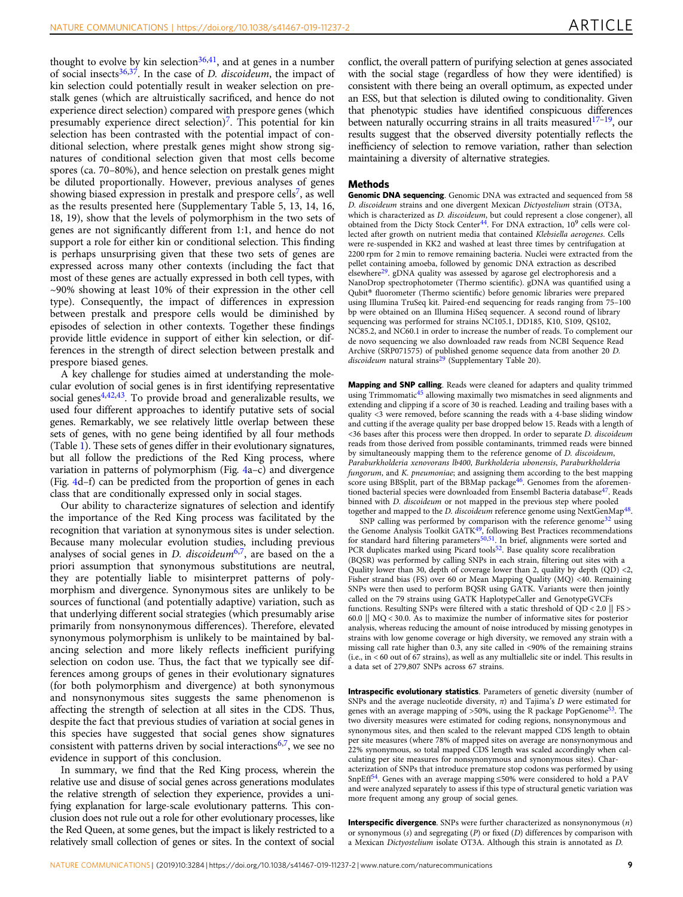thought to evolve by kin selection<sup>[36](#page-10-0),[41](#page-11-0)</sup>, and at genes in a number of social insects  $36,37$  $36,37$ . In the case of D. discoideum, the impact of kin selection could potentially result in weaker selection on prestalk genes (which are altruistically sacrificed, and hence do not experience direct selection) compared with prespore genes (which presumably experience direct selection)[7.](#page-10-0) This potential for kin selection has been contrasted with the potential impact of conditional selection, where prestalk genes might show strong signatures of conditional selection given that most cells become spores (ca. 70–80%), and hence selection on prestalk genes might be diluted proportionally. However, previous analyses of genes showing biased expression in prestalk and prespore cells<sup>7</sup>, as well as the results presented here (Supplementary Table 5, 13, 14, 16, 18, 19), show that the levels of polymorphism in the two sets of genes are not significantly different from 1:1, and hence do not support a role for either kin or conditional selection. This finding is perhaps unsurprising given that these two sets of genes are expressed across many other contexts (including the fact that most of these genes are actually expressed in both cell types, with ~90% showing at least 10% of their expression in the other cell type). Consequently, the impact of differences in expression between prestalk and prespore cells would be diminished by episodes of selection in other contexts. Together these findings provide little evidence in support of either kin selection, or differences in the strength of direct selection between prestalk and prespore biased genes.

A key challenge for studies aimed at understanding the molecular evolution of social genes is in first identifying representative social genes<sup> $4,42,43$  $4,42,43$  $4,42,43$  $4,42,43$ </sup>. To provide broad and generalizable results, we used four different approaches to identify putative sets of social genes. Remarkably, we see relatively little overlap between these sets of genes, with no gene being identified by all four methods (Table [1\)](#page-2-0). These sets of genes differ in their evolutionary signatures, but all follow the predictions of the Red King process, where variation in patterns of polymorphism (Fig. [4](#page-7-0)a–c) and divergence (Fig. [4d](#page-7-0)–f) can be predicted from the proportion of genes in each class that are conditionally expressed only in social stages.

Our ability to characterize signatures of selection and identify the importance of the Red King process was facilitated by the recognition that variation at synonymous sites is under selection. Because many molecular evolution studies, including previous analyses of social genes in D. discoideum<sup>6,7</sup>, are based on the a priori assumption that synonymous substitutions are neutral, they are potentially liable to misinterpret patterns of polymorphism and divergence. Synonymous sites are unlikely to be sources of functional (and potentially adaptive) variation, such as that underlying different social strategies (which presumably arise primarily from nonsynonymous differences). Therefore, elevated synonymous polymorphism is unlikely to be maintained by balancing selection and more likely reflects inefficient purifying selection on codon use. Thus, the fact that we typically see differences among groups of genes in their evolutionary signatures (for both polymorphism and divergence) at both synonymous and nonsynonymous sites suggests the same phenomenon is affecting the strength of selection at all sites in the CDS. Thus, despite the fact that previous studies of variation at social genes in this species have suggested that social genes show signatures consistent with patterns driven by social interactions<sup>6,7</sup>, we see no evidence in support of this conclusion.

In summary, we find that the Red King process, wherein the relative use and disuse of social genes across generations modulates the relative strength of selection they experience, provides a unifying explanation for large-scale evolutionary patterns. This conclusion does not rule out a role for other evolutionary processes, like the Red Queen, at some genes, but the impact is likely restricted to a relatively small collection of genes or sites. In the context of social conflict, the overall pattern of purifying selection at genes associated with the social stage (regardless of how they were identified) is consistent with there being an overall optimum, as expected under an ESS, but that selection is diluted owing to conditionality. Given that phenotypic studies have identified conspicuous differences between naturally occurring strains in all traits measured $17-19$ , our results suggest that the observed diversity potentially reflects the inefficiency of selection to remove variation, rather than selection maintaining a diversity of alternative strategies.

#### Methods

Genomic DNA sequencing. Genomic DNA was extracted and sequenced from 58 D. discoideum strains and one divergent Mexican Dictyostelium strain (OT3A, which is characterized as *D. discoideum*, but could represent a close congener), all obtained from the Dicty Stock Center<sup>44</sup>. For DNA extraction, 10<sup>9</sup> cells were collected after growth on nutrient media that contained Klebsiella aerogenes. Cells were re-suspended in KK2 and washed at least three times by centrifugation at 2200 rpm for 2 min to remove remaining bacteria. Nuclei were extracted from the pellet containing amoeba, followed by genomic DNA extraction as described elsewhere<sup>[29](#page-10-0)</sup>. gDNA quality was assessed by agarose gel electrophoresis and a NanoDrop spectrophotometer (Thermo scientific). gDNA was quantified using a Qubit® fluorometer (Thermo scientific) before genomic libraries were prepared using Illumina TruSeq kit. Paired-end sequencing for reads ranging from 75–100 bp were obtained on an Illumina HiSeq sequencer. A second round of library sequencing was performed for strains NC105.1, DD185, K10, S109, QS102, NC85.2, and NC60.1 in order to increase the number of reads. To complement our de novo sequencing we also downloaded raw reads from NCBI Sequence Read Archive (SRP071575) of published genome sequence data from another 20 D.  $discountum$  natural strains $^{29}$  $^{29}$  $^{29}$  (Supplementary Table 20).

Mapping and SNP calling. Reads were cleaned for adapters and quality trimmed using Trimmomatic<sup>[45](#page-11-0)</sup> allowing maximally two mismatches in seed alignments and extending and clipping if a score of 30 is reached. Leading and trailing bases with a quality <3 were removed, before scanning the reads with a 4-base sliding window and cutting if the average quality per base dropped below 15. Reads with a length of <36 bases after this process were then dropped. In order to separate D. discoideum reads from those derived from possible contaminants, trimmed reads were binned by simultaneously mapping them to the reference genome of D. discoideum, Paraburkholderia xenovorans lb400, Burkholderia ubonensis, Paraburkholderia fungorum, and K. pneumoniae; and assigning them according to the best mapping score using BBSplit, part of the BBMap package<sup>46</sup>. Genomes from the aforemen-tioned bacterial species were downloaded from Ensembl Bacteria database<sup>[47](#page-11-0)</sup>. Reads binned with *D. discoideum* or not mapped in the previous step where pooled together and mapped to the D. discoideum reference genome using NextGenMap<sup>48</sup>.

SNP calling was performed by comparison with the reference genome<sup>[32](#page-10-0)</sup> using the Genome Analysis Toolkit GATK<sup>[49](#page-11-0)</sup>, following Best Practices recommendations for standard hard filtering parameters<sup>[50](#page-11-0),[51](#page-11-0)</sup>. In brief, alignments were sorted and PCR duplicates marked using Picard tools<sup>52</sup>. Base quality score recalibration (BQSR) was performed by calling SNPs in each strain, filtering out sites with a Quality lower than 30, depth of coverage lower than 2, quality by depth (QD) <2, Fisher strand bias (FS) over 60 or Mean Mapping Quality (MQ) <40. Remaining SNPs were then used to perform BQSR using GATK. Variants were then jointly called on the 79 strains using GATK HaplotypeCaller and GenotypeGVCFs functions. Resulting SNPs were filtered with a static threshold of QD < 2.0 || FS > 60.0 || MQ < 30.0. As to maximize the number of informative sites for posterior analysis, whereas reducing the amount of noise introduced by missing genotypes in strains with low genome coverage or high diversity, we removed any strain with a missing call rate higher than 0.3, any site called in <90% of the remaining strains (i.e., in < 60 out of 67 strains), as well as any multiallelic site or indel. This results in a data set of 279,807 SNPs across 67 strains.

Intraspecific evolutionary statistics. Parameters of genetic diversity (number of SNPs and the average nucleotide diversity,  $\pi$ ) and Tajima's *D* were estimated for genes with an average mapping of >50%, using the R package PopGenome<sup>[53](#page-11-0)</sup>. The two diversity measures were estimated for coding regions, nonsynonymous and synonymous sites, and then scaled to the relevant mapped CDS length to obtain per site measures (where 78% of mapped sites on average are nonsynonymous and 22% synonymous, so total mapped CDS length was scaled accordingly when calculating per site measures for nonsynonymous and synonymous sites). Characterization of SNPs that introduce premature stop codons was performed by using SnpEff<sup>[54](#page-11-0)</sup>. Genes with an average mapping  $\leq$ 50% were considered to hold a PAV and were analyzed separately to assess if this type of structural genetic variation was more frequent among any group of social genes.

**Interspecific divergence**. SNPs were further characterized as nonsynonymous  $(n)$ or synonymous (s) and segregating (P) or fixed (D) differences by comparison with a Mexican Dictyostelium isolate OT3A. Although this strain is annotated as D.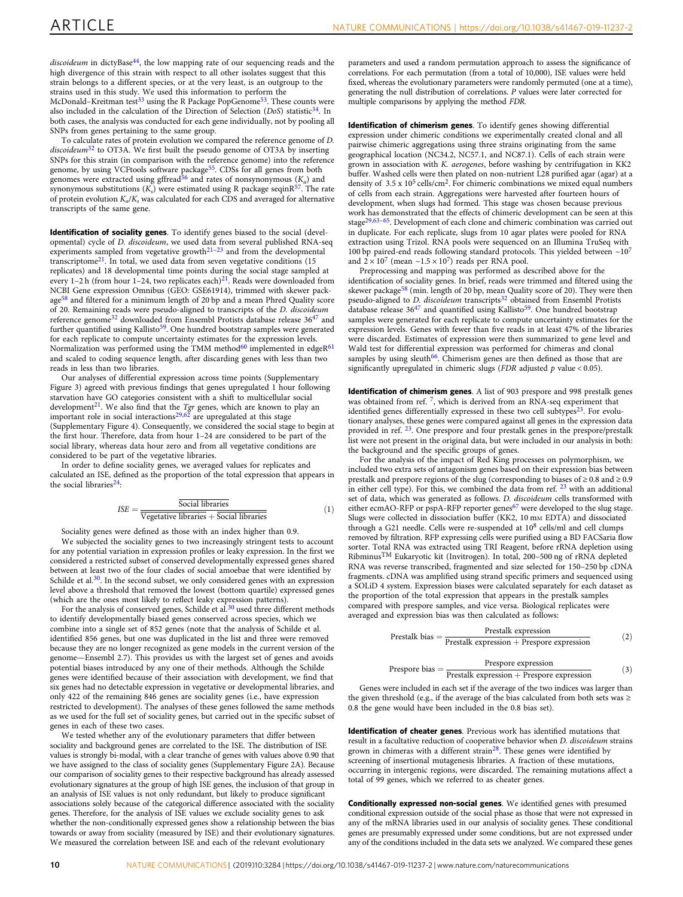$discoideum$  in dictyBase $^{44}$  $^{44}$  $^{44}$ , the low mapping rate of our sequencing reads and the high divergence of this strain with respect to all other isolates suggest that this strain belongs to a different species, or at the very least, is an outgroup to the strains used in this study. We used this information to perform the McDonald–Kreitman test<sup>[33](#page-10-0)</sup> using the R Package PopGenome<sup>53</sup>. These counts were also included in the calculation of the Direction of Selection (DoS) statistic<sup>34</sup>. In both cases, the analysis was conducted for each gene individually, not by pooling all SNPs from genes pertaining to the same group.

To calculate rates of protein evolution we compared the reference genome of D.  $discoideum<sup>32</sup>$  $discoideum<sup>32</sup>$  $discoideum<sup>32</sup>$  to OT3A. We first built the pseudo genome of OT3A by inserting SNPs for this strain (in comparison with the reference genome) into the reference genome, by using VCFtools software package<sup>[55](#page-11-0)</sup>. CDSs for all genes from both genomes were extracted using gffread<sup>[56](#page-11-0)</sup> and rates of nonsynonymous ( $K_a$ ) and synonymous substitutions  $(K_s)$  were estimated using R package seqinR<sup>[57](#page-11-0)</sup>. The rate of protein evolution  $K_a/K_s$  was calculated for each CDS and averaged for alternative transcripts of the same gene.

Identification of sociality genes. To identify genes biased to the social (developmental) cycle of D. discoideum, we used data from several published RNA-seq experiments sampled from vegetative growth<sup>[21](#page-10-0)–[23](#page-10-0)</sup> and from the developmental transcriptome<sup>[21](#page-10-0)</sup>. In total, we used data from seven vegetative conditions (15) replicates) and 18 developmental time points during the social stage sampled at every  $1-2$  h (from hour  $1-24$ , two replicates each)<sup>21</sup>. Reads were downloaded from NCBI Gene expression Omnibus (GEO: GSE61914), trimmed with skewer pack-age<sup>[58](#page-11-0)</sup> and filtered for a minimum length of 20 bp and a mean Phred Quality score of 20. Remaining reads were pseudo-aligned to transcripts of the D. discoideum reference genome<sup>[32](#page-10-0)</sup> downloaded from Ensembl Protists database release 36<sup>47</sup> and further quantified using Kallisto<sup>[59](#page-11-0)</sup>. One hundred bootstrap samples were generated for each replicate to compute uncertainty estimates for the expression levels. Normalization was performed using the TMM method<sup>[60](#page-11-0)</sup> implemented in edgeR<sup>[61](#page-11-0)</sup> and scaled to coding sequence length, after discarding genes with less than two reads in less than two libraries.

Our analyses of differential expression across time points (Supplementary Figure 3) agreed with previous findings that genes upregulated 1 hour following starvation have GO categories consistent with a shift to multicellular social development<sup>21</sup>. We also find that the Tgr genes, which are known to play an important role in social interactions<sup>[29](#page-10-0)[,62](#page-11-0)</sup> are upregulated at this stage (Supplementary Figure 4). Consequently, we considered the social stage to begin at the first hour. Therefore, data from hour 1–24 are considered to be part of the social library, whereas data hour zero and from all vegetative conditions are considered to be part of the vegetative libraries.

In order to define sociality genes, we averaged values for replicates and calculated an ISE, defined as the proportion of the total expression that appears in the social libraries<sup>[24](#page-10-0)</sup>:

$$
ISE = \frac{\overline{Social libraries}}{\overline{Vegetative libraries} + \overline{Social libraries}}
$$
(1)

Sociality genes were defined as those with an index higher than 0.9.

We subjected the sociality genes to two increasingly stringent tests to account for any potential variation in expression profiles or leaky expression. In the first we considered a restricted subset of conserved developmentally expressed genes shared between at least two of the four clades of social amoebae that were identified by Schilde et al. $30$ . In the second subset, we only considered genes with an expression level above a threshold that removed the lowest (bottom quartile) expressed genes (which are the ones most likely to reflect leaky expression patterns).

For the analysis of conserved genes, Schilde et al.<sup>[30](#page-10-0)</sup> used three different methods to identify developmentally biased genes conserved across species, which we combine into a single set of 852 genes (note that the analysis of Schilde et al. identified 856 genes, but one was duplicated in the list and three were removed because they are no longer recognized as gene models in the current version of the genome—Ensembl 2.7). This provides us with the largest set of genes and avoids potential biases introduced by any one of their methods. Although the Schilde genes were identified because of their association with development, we find that six genes had no detectable expression in vegetative or developmental libraries, and only 422 of the remaining 846 genes are sociality genes (i.e., have expression restricted to development). The analyses of these genes followed the same methods as we used for the full set of sociality genes, but carried out in the specific subset of genes in each of these two cases.

We tested whether any of the evolutionary parameters that differ between sociality and background genes are correlated to the ISE. The distribution of ISE values is strongly bi-modal, with a clear tranche of genes with values above 0.90 that we have assigned to the class of sociality genes (Supplementary Figure 2A). Because our comparison of sociality genes to their respective background has already assessed evolutionary signatures at the group of high ISE genes, the inclusion of that group in an analysis of ISE values is not only redundant, but likely to produce significant associations solely because of the categorical difference associated with the sociality genes. Therefore, for the analysis of ISE values we exclude sociality genes to ask whether the non-conditionally expressed genes show a relationship between the bias towards or away from sociality (measured by ISE) and their evolutionary signatures. We measured the correlation between ISE and each of the relevant evolutionary

parameters and used a random permutation approach to assess the significance of correlations. For each permutation (from a total of 10,000), ISE values were held fixed, whereas the evolutionary parameters were randomly permuted (one at a time), generating the null distribution of correlations. P values were later corrected for multiple comparisons by applying the method FDR.

Identification of chimerism genes. To identify genes showing differential expression under chimeric conditions we experimentally created clonal and all pairwise chimeric aggregations using three strains originating from the same geographical location (NC34.2, NC57.1, and NC87.1). Cells of each strain were grown in association with K. aerogenes, before washing by centrifugation in KK2 buffer. Washed cells were then plated on non-nutrient L28 purified agar (agar) at a density of 3.5 x 10<sup>5</sup> cells/cm<sup>2</sup>. For chimeric combinations we mixed equal numbers of cells from each strain. Aggregations were harvested after fourteen hours of development, when slugs had formed. This stage was chosen because previous work has demonstrated that the effects of chimeric development can be seen at this stage<sup>29[,63](#page-11-0)-65</sup>. Development of each clone and chimeric combination was carried out in duplicate. For each replicate, slugs from 10 agar plates were pooled for RNA extraction using Trizol. RNA pools were sequenced on an Illumina TruSeq with 100 bp paired-end reads following standard protocols. This yielded between  $\sim$ 10<sup>7</sup> and  $2 \times 10^7$  (mean ~1.5  $\times 10^7$ ) reads per RNA pool.

Preprocessing and mapping was performed as described above for the identification of sociality genes. In brief, reads were trimmed and filtered using the skewer package<sup>[58](#page-11-0)</sup> (min. length of 20 bp, mean Quality score of 20). They were then pseudo-aligned to *D. discoideum* transcripts<sup>[32](#page-10-0)</sup> obtained from Ensembl Protists database release  $36^{47}$  and quantified using Kallisto<sup>59</sup>. One hundred bootstrap samples were generated for each replicate to compute uncertainty estimates for the expression levels. Genes with fewer than five reads in at least 47% of the libraries were discarded. Estimates of expression were then summarized to gene level and Wald test for differential expression was performed for chimeras and clonal samples by using sleuth<sup>66</sup>. Chimerism genes are then defined as those that are significantly upregulated in chimeric slugs ( $FDR$  adjusted  $p$  value < 0.05).

Identification of chimerism genes. A list of 903 prespore and 998 prestalk genes was obtained from ref. <sup>7</sup>, which is derived from an RNA-seq experiment that identified genes differentially expressed in these two cell subtypes<sup>23</sup>. For evolutionary analyses, these genes were compared against all genes in the expression data provided in ref. [23.](#page-10-0) One prespore and four prestalk genes in the prespore/prestalk list were not present in the original data, but were included in our analysis in both: the background and the specific groups of genes.

For the analysis of the impact of Red King processes on polymorphism, we included two extra sets of antagonism genes based on their expression bias between prestalk and prespore regions of the slug (corresponding to biases of ≥ 0.8 and ≥ 0.9 in either cell type). For this, we combined the data from ref. [23](#page-10-0) with an additional set of data, which was generated as follows. D. discoideum cells transformed with either ecmAO-RFP or pspA-RFP reporter genes<sup>[67](#page-11-0)</sup> were developed to the slug stage. Slugs were collected in dissociation buffer (KK2, 10 mm EDTA) and dissociated through a G21 needle. Cells were re-suspended at 10<sup>8</sup> cells/ml and cell clumps removed by filtration. RFP expressing cells were purified using a BD FACSaria flow sorter. Total RNA was extracted using TRI Reagent, before rRNA depletion using Ribminus<sup>TM</sup> Eukaryotic kit (Invitrogen). In total, 200-500 ng of rRNA depleted RNA was reverse transcribed, fragmented and size selected for 150–250 bp cDNA fragments. cDNA was amplified using strand specific primers and sequenced using a SOLiD 4 system. Expression biases were calculated separately for each dataset as the proportion of the total expression that appears in the prestalk samples compared with prespore samples, and vice versa. Biological replicates were averaged and expression bias was then calculated as follows:

$$
Prestalk bias = \frac{Prestalk expression}{Prestalk expression + Prespore expression}
$$
 (2)

$$
Prespore bias = \frac{Prespore expression}{Prestalk expression + Prespore expression}
$$
 (3)

Genes were included in each set if the average of the two indices was larger than the given threshold (e.g., if the average of the bias calculated from both sets was  $\ge$ 0.8 the gene would have been included in the 0.8 bias set).

Identification of cheater genes. Previous work has identified mutations that result in a facultative reduction of cooperative behavior when D. discoideum strains grown in chimeras with a different strain<sup>[28](#page-10-0)</sup>. These genes were identified by screening of insertional mutagenesis libraries. A fraction of these mutations, occurring in intergenic regions, were discarded. The remaining mutations affect a total of 99 genes, which we referred to as cheater genes.

Conditionally expressed non-social genes. We identified genes with presumed conditional expression outside of the social phase as those that were not expressed in any of the mRNA libraries used in our analysis of sociality genes. These conditional genes are presumably expressed under some conditions, but are not expressed under any of the conditions included in the data sets we analyzed. We compared these genes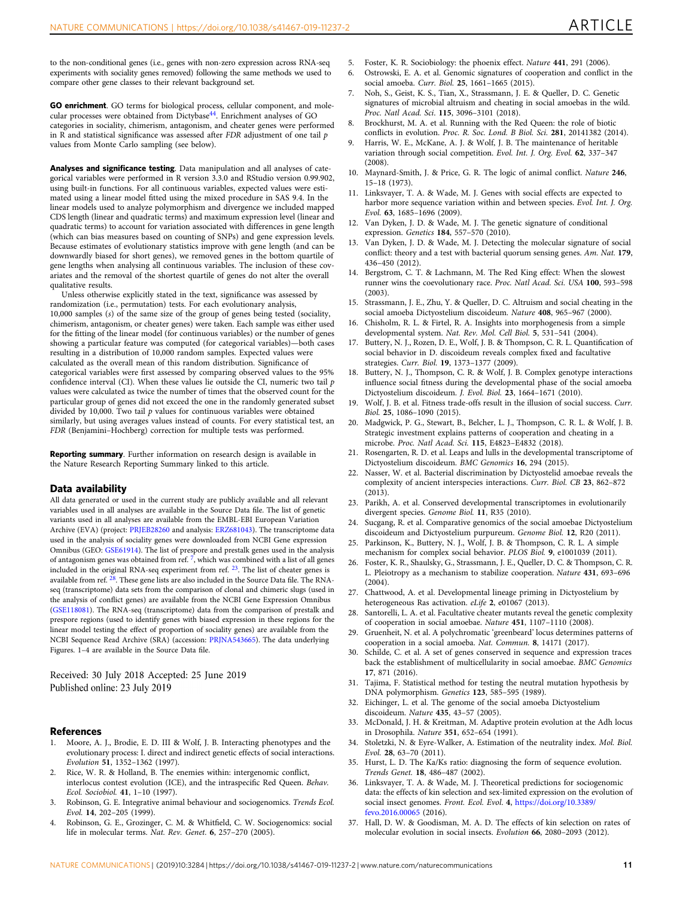<span id="page-10-0"></span>to the non-conditional genes (i.e., genes with non-zero expression across RNA-seq experiments with sociality genes removed) following the same methods we used to compare other gene classes to their relevant background set.

GO enrichment. GO terms for biological process, cellular component, and mole-cular processes were obtained from Dictybase<sup>[44](#page-11-0)</sup>. Enrichment analyses of GO categories in sociality, chimerism, antagonism, and cheater genes were performed in R and statistical significance was assessed after  $FDR$  adjustment of one tail  $p$ values from Monte Carlo sampling (see below).

Analyses and significance testing. Data manipulation and all analyses of categorical variables were performed in R version 3.3.0 and RStudio version 0.99.902, using built-in functions. For all continuous variables, expected values were estimated using a linear model fitted using the mixed procedure in SAS 9.4. In the linear models used to analyze polymorphism and divergence we included mapped CDS length (linear and quadratic terms) and maximum expression level (linear and quadratic terms) to account for variation associated with differences in gene length (which can bias measures based on counting of SNPs) and gene expression levels. Because estimates of evolutionary statistics improve with gene length (and can be downwardly biased for short genes), we removed genes in the bottom quartile of gene lengths when analysing all continuous variables. The inclusion of these covariates and the removal of the shortest quartile of genes do not alter the overall qualitative results.

Unless otherwise explicitly stated in the text, significance was assessed by randomization (i.e., permutation) tests. For each evolutionary analysis, 10,000 samples (s) of the same size of the group of genes being tested (sociality, chimerism, antagonism, or cheater genes) were taken. Each sample was either used for the fitting of the linear model (for continuous variables) or the number of genes showing a particular feature was computed (for categorical variables)—both cases resulting in a distribution of 10,000 random samples. Expected values were calculated as the overall mean of this random distribution. Significance of categorical variables were first assessed by comparing observed values to the 95% confidence interval (CI). When these values lie outside the CI, numeric two tail  $p$ values were calculated as twice the number of times that the observed count for the particular group of genes did not exceed the one in the randomly generated subset divided by 10,000. Two tail  $p$  values for continuous variables were obtained similarly, but using averages values instead of counts. For every statistical test, an FDR (Benjamini–Hochberg) correction for multiple tests was performed.

Reporting summary. Further information on research design is available in the Nature Research Reporting Summary linked to this article.

#### Data availability

All data generated or used in the current study are publicly available and all relevant variables used in all analyses are available in the Source Data file. The list of genetic variants used in all analyses are available from the EMBL-EBI European Variation Archive (EVA) (project: [PRJEB28260](https://www.ebi.ac.uk/eva/?eva-study=PRJEB28260) and analysis: [ERZ681043](https://www.ebi.ac.uk/ena/data/view/ERZ681043)). The transcriptome data used in the analysis of sociality genes were downloaded from NCBI Gene expression Omnibus (GEO: [GSE61914\)](https://www.ncbi.nlm.nih.gov/geo/query/acc.cgi?acc=GSE61914). The list of prespore and prestalk genes used in the analysis of antagonism genes was obtained from ref.  $\frac{7}{1}$ , which was combined with a list of all genes included in the original RNA-seq experiment from ref. 23. The list of cheater genes is available from ref. 28. These gene lists are also included in the Source Data file. The RNAseq (transcriptome) data sets from the comparison of clonal and chimeric slugs (used in the analysis of conflict genes) are available from the NCBI Gene Expression Omnibus ([GSE118081](https://www.ncbi.nlm.nih.gov/geo/query/acc.cgi?acc=GSE118081)). The RNA-seq (transcriptome) data from the comparison of prestalk and prespore regions (used to identify genes with biased expression in these regions for the linear model testing the effect of proportion of sociality genes) are available from the NCBI Sequence Read Archive (SRA) (accession: [PRJNA543665\)](https://www.ncbi.nlm.nih.gov/bioproject/PRJNA543665/). The data underlying Figures. 1–4 are available in the Source Data file.

Received: 30 July 2018 Accepted: 25 June 2019 Published online: 23 July 2019

#### References

- 1. Moore, A. J., Brodie, E. D. III & Wolf, J. B. Interacting phenotypes and the evolutionary process: I. direct and indirect genetic effects of social interactions. Evolution 51, 1352–1362 (1997).
- 2. Rice, W. R. & Holland, B. The enemies within: intergenomic conflict, interlocus contest evolution (ICE), and the intraspecific Red Queen. Behav. Ecol. Sociobiol. 41, 1–10 (1997).
- 3. Robinson, G. E. Integrative animal behaviour and sociogenomics. Trends Ecol. Evol. 14, 202–205 (1999).
- 4. Robinson, G. E., Grozinger, C. M. & Whitfield, C. W. Sociogenomics: social life in molecular terms. Nat. Rev. Genet. 6, 257–270 (2005).
- 5. Foster, K. R. Sociobiology: the phoenix effect. Nature 441, 291 (2006).
- 6. Ostrowski, E. A. et al. Genomic signatures of cooperation and conflict in the social amoeba. Curr. Biol. 25, 1661–1665 (2015).
- 7. Noh, S., Geist, K. S., Tian, X., Strassmann, J. E. & Queller, D. C. Genetic signatures of microbial altruism and cheating in social amoebas in the wild. Proc. Natl Acad. Sci. 115, 3096–3101 (2018).
- 8. Brockhurst, M. A. et al. Running with the Red Queen: the role of biotic conflicts in evolution. Proc. R. Soc. Lond. B Biol. Sci. 281, 20141382 (2014).
- Harris, W. E., McKane, A. J. & Wolf, J. B. The maintenance of heritable variation through social competition. Evol. Int. J. Org. Evol. 62, 337–347 (2008).
- 10. Maynard-Smith, J. & Price, G. R. The logic of animal conflict. Nature 246, 15–18 (1973).
- 11. Linksvayer, T. A. & Wade, M. J. Genes with social effects are expected to harbor more sequence variation within and between species. Evol. Int. J. Org. Evol. 63, 1685–1696 (2009).
- 12. Van Dyken, J. D. & Wade, M. J. The genetic signature of conditional expression. Genetics 184, 557–570 (2010).
- 13. Van Dyken, J. D. & Wade, M. J. Detecting the molecular signature of social conflict: theory and a test with bacterial quorum sensing genes. Am. Nat. 179, 436–450 (2012).
- 14. Bergstrom, C. T. & Lachmann, M. The Red King effect: When the slowest runner wins the coevolutionary race. Proc. Natl Acad. Sci. USA 100, 593–598  $(2003)$
- 15. Strassmann, J. E., Zhu, Y. & Queller, D. C. Altruism and social cheating in the social amoeba Dictyostelium discoideum. Nature 408, 965–967 (2000).
- 16. Chisholm, R. L. & Firtel, R. A. Insights into morphogenesis from a simple developmental system. Nat. Rev. Mol. Cell Biol. 5, 531–541 (2004).
- 17. Buttery, N. J., Rozen, D. E., Wolf, J. B. & Thompson, C. R. L. Quantification of social behavior in D. discoideum reveals complex fixed and facultative strategies. Curr. Biol. 19, 1373–1377 (2009).
- 18. Buttery, N. J., Thompson, C. R. & Wolf, J. B. Complex genotype interactions influence social fitness during the developmental phase of the social amoeba Dictyostelium discoideum. J. Evol. Biol. 23, 1664–1671 (2010).
- 19. Wolf, J. B. et al. Fitness trade-offs result in the illusion of social success. Curr. Biol. 25, 1086–1090 (2015).
- 20. Madgwick, P. G., Stewart, B., Belcher, L. J., Thompson, C. R. L. & Wolf, J. B. Strategic investment explains patterns of cooperation and cheating in a microbe. Proc. Natl Acad. Sci. 115, E4823–E4832 (2018).
- 21. Rosengarten, R. D. et al. Leaps and lulls in the developmental transcriptome of Dictyostelium discoideum. BMC Genomics 16, 294 (2015).
- 22. Nasser, W. et al. Bacterial discrimination by Dictyostelid amoebae reveals the complexity of ancient interspecies interactions. Curr. Biol. CB 23, 862–872 (2013).
- 23. Parikh, A. et al. Conserved developmental transcriptomes in evolutionarily divergent species. Genome Biol. 11, R35 (2010).
- 24. Sucgang, R. et al. Comparative genomics of the social amoebae Dictyostelium discoideum and Dictyostelium purpureum. Genome Biol. 12, R20 (2011).
- Parkinson, K., Buttery, N. J., Wolf, J. B. & Thompson, C. R. L. A simple mechanism for complex social behavior. PLOS Biol. 9, e1001039 (2011).
- 26. Foster, K. R., Shaulsky, G., Strassmann, J. E., Queller, D. C. & Thompson, C. R. L. Pleiotropy as a mechanism to stabilize cooperation. Nature 431, 693–696 (2004).
- 27. Chattwood, A. et al. Developmental lineage priming in Dictyostelium by heterogeneous Ras activation. eLife 2, e01067 (2013).
- 28. Santorelli, L. A. et al. Facultative cheater mutants reveal the genetic complexity of cooperation in social amoebae. Nature 451, 1107–1110 (2008).
- 29. Gruenheit, N. et al. A polychromatic 'greenbeard' locus determines patterns of cooperation in a social amoeba. Nat. Commun. 8, 14171 (2017).
- 30. Schilde, C. et al. A set of genes conserved in sequence and expression traces back the establishment of multicellularity in social amoebae. BMC Genomics 17, 871 (2016).
- 31. Tajima, F. Statistical method for testing the neutral mutation hypothesis by DNA polymorphism. Genetics 123, 585–595 (1989).
- 32. Eichinger, L. et al. The genome of the social amoeba Dictyostelium discoideum. Nature 435, 43–57 (2005).
- 33. McDonald, J. H. & Kreitman, M. Adaptive protein evolution at the Adh locus in Drosophila. Nature 351, 652–654 (1991).
- 34. Stoletzki, N. & Eyre-Walker, A. Estimation of the neutrality index. Mol. Biol. Evol. 28, 63–70 (2011).
- 35. Hurst, L. D. The Ka/Ks ratio: diagnosing the form of sequence evolution. Trends Genet. 18, 486–487 (2002).
- 36. Linksvayer, T. A. & Wade, M. J. Theoretical predictions for sociogenomic data: the effects of kin selection and sex-limited expression on the evolution of social insect genomes. Front. Ecol. Evol. 4, [https://doi.org/10.3389/](https://doi.org/10.3389/fevo.2016.00065) [fevo.2016.00065](https://doi.org/10.3389/fevo.2016.00065) (2016).
- 37. Hall, D. W. & Goodisman, M. A. D. The effects of kin selection on rates of molecular evolution in social insects. Evolution 66, 2080–2093 (2012).